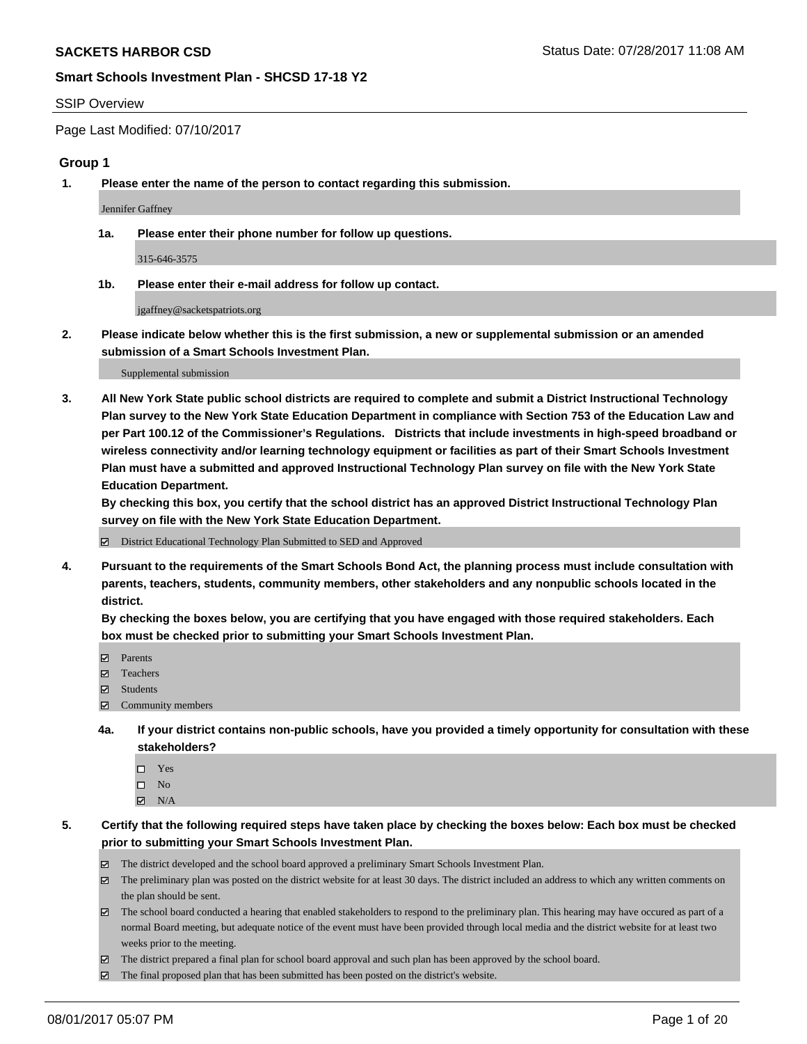### SSIP Overview

Page Last Modified: 07/10/2017

### **Group 1**

**1. Please enter the name of the person to contact regarding this submission.**

Jennifer Gaffney

**1a. Please enter their phone number for follow up questions.**

315-646-3575

**1b. Please enter their e-mail address for follow up contact.**

jgaffney@sacketspatriots.org

**2. Please indicate below whether this is the first submission, a new or supplemental submission or an amended submission of a Smart Schools Investment Plan.**

Supplemental submission

**3. All New York State public school districts are required to complete and submit a District Instructional Technology Plan survey to the New York State Education Department in compliance with Section 753 of the Education Law and per Part 100.12 of the Commissioner's Regulations. Districts that include investments in high-speed broadband or wireless connectivity and/or learning technology equipment or facilities as part of their Smart Schools Investment Plan must have a submitted and approved Instructional Technology Plan survey on file with the New York State Education Department.** 

**By checking this box, you certify that the school district has an approved District Instructional Technology Plan survey on file with the New York State Education Department.**

District Educational Technology Plan Submitted to SED and Approved

**4. Pursuant to the requirements of the Smart Schools Bond Act, the planning process must include consultation with parents, teachers, students, community members, other stakeholders and any nonpublic schools located in the district.** 

**By checking the boxes below, you are certifying that you have engaged with those required stakeholders. Each box must be checked prior to submitting your Smart Schools Investment Plan.**

- **マ** Parents
- □ Teachers
- Students
- $\Xi$  Community members
- **4a. If your district contains non-public schools, have you provided a timely opportunity for consultation with these stakeholders?**
	- Yes
	- $\hfill \square$  No
	- $\boxtimes$  N/A
- **5. Certify that the following required steps have taken place by checking the boxes below: Each box must be checked prior to submitting your Smart Schools Investment Plan.**
	- The district developed and the school board approved a preliminary Smart Schools Investment Plan.
	- $\boxtimes$  The preliminary plan was posted on the district website for at least 30 days. The district included an address to which any written comments on the plan should be sent.
	- $\boxtimes$  The school board conducted a hearing that enabled stakeholders to respond to the preliminary plan. This hearing may have occured as part of a normal Board meeting, but adequate notice of the event must have been provided through local media and the district website for at least two weeks prior to the meeting.
	- The district prepared a final plan for school board approval and such plan has been approved by the school board.
	- $\boxtimes$  The final proposed plan that has been submitted has been posted on the district's website.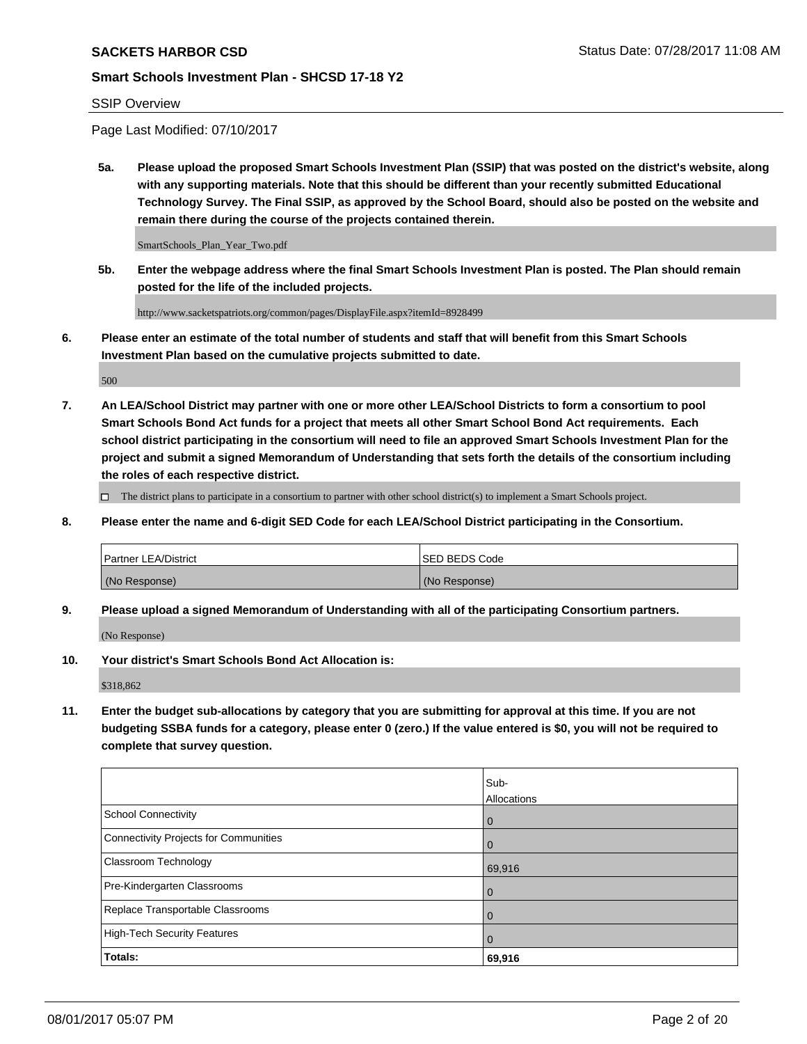### SSIP Overview

Page Last Modified: 07/10/2017

**5a. Please upload the proposed Smart Schools Investment Plan (SSIP) that was posted on the district's website, along with any supporting materials. Note that this should be different than your recently submitted Educational Technology Survey. The Final SSIP, as approved by the School Board, should also be posted on the website and remain there during the course of the projects contained therein.**

SmartSchools\_Plan\_Year\_Two.pdf

**5b. Enter the webpage address where the final Smart Schools Investment Plan is posted. The Plan should remain posted for the life of the included projects.**

http://www.sacketspatriots.org/common/pages/DisplayFile.aspx?itemId=8928499

**6. Please enter an estimate of the total number of students and staff that will benefit from this Smart Schools Investment Plan based on the cumulative projects submitted to date.**

500

**7. An LEA/School District may partner with one or more other LEA/School Districts to form a consortium to pool Smart Schools Bond Act funds for a project that meets all other Smart School Bond Act requirements. Each school district participating in the consortium will need to file an approved Smart Schools Investment Plan for the project and submit a signed Memorandum of Understanding that sets forth the details of the consortium including the roles of each respective district.**

 $\Box$  The district plans to participate in a consortium to partner with other school district(s) to implement a Smart Schools project.

**8. Please enter the name and 6-digit SED Code for each LEA/School District participating in the Consortium.**

| <b>Partner LEA/District</b> | <b>ISED BEDS Code</b> |
|-----------------------------|-----------------------|
| (No Response)               | (No Response)         |

**9. Please upload a signed Memorandum of Understanding with all of the participating Consortium partners.**

(No Response)

**10. Your district's Smart Schools Bond Act Allocation is:**

\$318,862

**11. Enter the budget sub-allocations by category that you are submitting for approval at this time. If you are not budgeting SSBA funds for a category, please enter 0 (zero.) If the value entered is \$0, you will not be required to complete that survey question.**

|                                       | Sub-<br>Allocations |
|---------------------------------------|---------------------|
| <b>School Connectivity</b>            | $\overline{0}$      |
| Connectivity Projects for Communities | 0                   |
| Classroom Technology                  | 69,916              |
| Pre-Kindergarten Classrooms           | $\overline{0}$      |
| Replace Transportable Classrooms      | $\mathbf 0$         |
| <b>High-Tech Security Features</b>    | $\overline{0}$      |
| Totals:                               | 69,916              |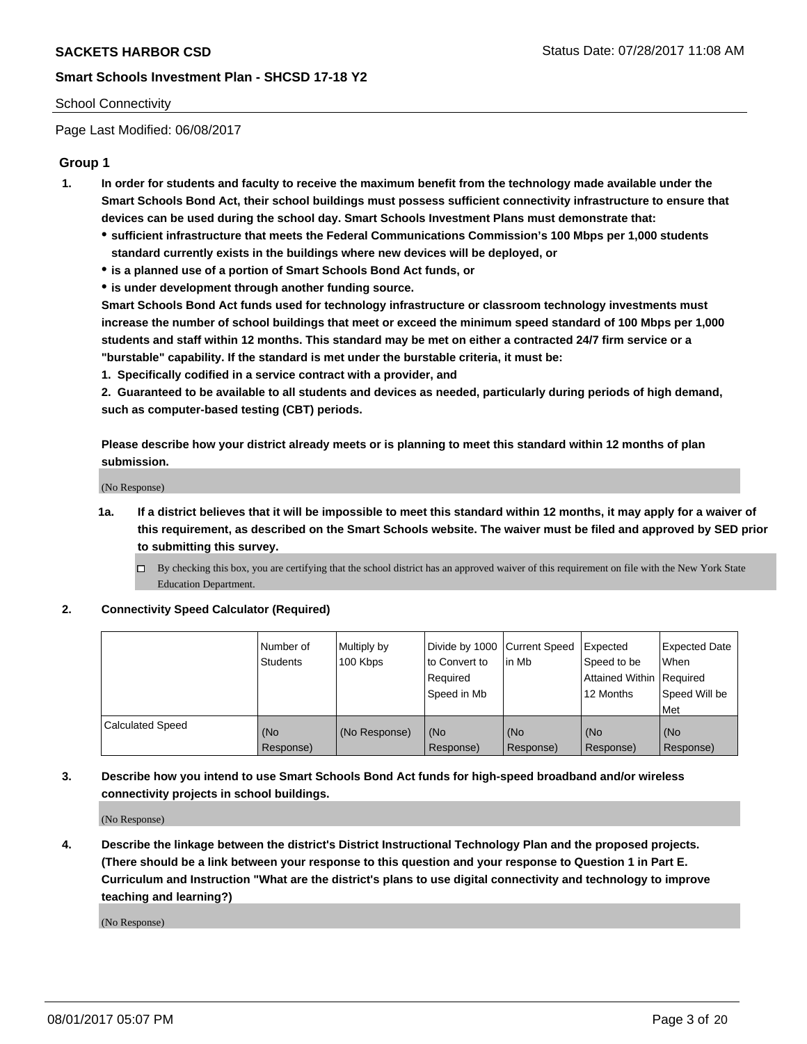### School Connectivity

Page Last Modified: 06/08/2017

## **Group 1**

- **1. In order for students and faculty to receive the maximum benefit from the technology made available under the Smart Schools Bond Act, their school buildings must possess sufficient connectivity infrastructure to ensure that devices can be used during the school day. Smart Schools Investment Plans must demonstrate that:**
	- **sufficient infrastructure that meets the Federal Communications Commission's 100 Mbps per 1,000 students standard currently exists in the buildings where new devices will be deployed, or**
	- **is a planned use of a portion of Smart Schools Bond Act funds, or**
	- **is under development through another funding source.**

**Smart Schools Bond Act funds used for technology infrastructure or classroom technology investments must increase the number of school buildings that meet or exceed the minimum speed standard of 100 Mbps per 1,000 students and staff within 12 months. This standard may be met on either a contracted 24/7 firm service or a "burstable" capability. If the standard is met under the burstable criteria, it must be:**

**1. Specifically codified in a service contract with a provider, and**

**2. Guaranteed to be available to all students and devices as needed, particularly during periods of high demand, such as computer-based testing (CBT) periods.**

**Please describe how your district already meets or is planning to meet this standard within 12 months of plan submission.**

(No Response)

- **1a. If a district believes that it will be impossible to meet this standard within 12 months, it may apply for a waiver of this requirement, as described on the Smart Schools website. The waiver must be filed and approved by SED prior to submitting this survey.**
	- By checking this box, you are certifying that the school district has an approved waiver of this requirement on file with the New York State Education Department.

### **2. Connectivity Speed Calculator (Required)**

|                         | l Number of<br><b>Students</b> | Multiply by<br>100 Kbps | Divide by 1000   Current Speed<br>to Convert to<br>Required<br>l Speed in Mb | in Mb            | Expected<br>Speed to be<br>Attained Within Required<br>12 Months | <b>Expected Date</b><br>When<br>Speed Will be<br><b>Met</b> |
|-------------------------|--------------------------------|-------------------------|------------------------------------------------------------------------------|------------------|------------------------------------------------------------------|-------------------------------------------------------------|
| <b>Calculated Speed</b> | (No<br>Response)               | (No Response)           | (No<br>Response)                                                             | (No<br>Response) | (No<br>Response)                                                 | l (No<br>Response)                                          |

## **3. Describe how you intend to use Smart Schools Bond Act funds for high-speed broadband and/or wireless connectivity projects in school buildings.**

(No Response)

**4. Describe the linkage between the district's District Instructional Technology Plan and the proposed projects. (There should be a link between your response to this question and your response to Question 1 in Part E. Curriculum and Instruction "What are the district's plans to use digital connectivity and technology to improve teaching and learning?)**

(No Response)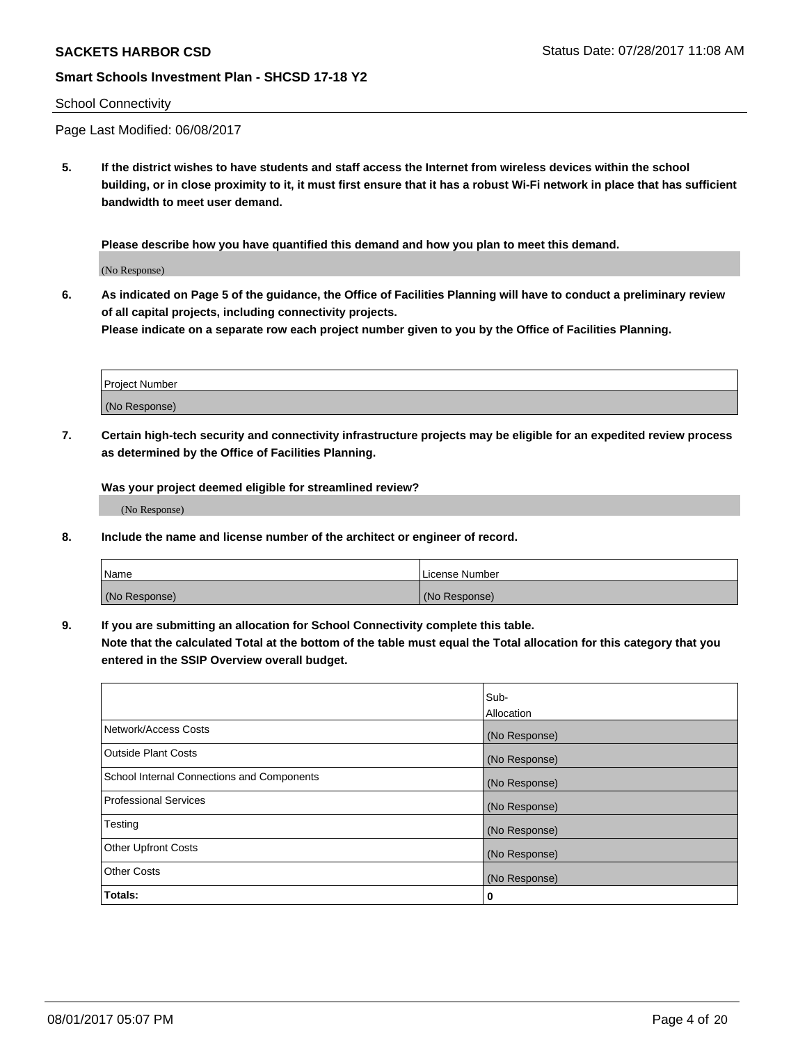## School Connectivity

Page Last Modified: 06/08/2017

**5. If the district wishes to have students and staff access the Internet from wireless devices within the school building, or in close proximity to it, it must first ensure that it has a robust Wi-Fi network in place that has sufficient bandwidth to meet user demand.**

**Please describe how you have quantified this demand and how you plan to meet this demand.**

(No Response)

**6. As indicated on Page 5 of the guidance, the Office of Facilities Planning will have to conduct a preliminary review of all capital projects, including connectivity projects.**

**Please indicate on a separate row each project number given to you by the Office of Facilities Planning.**

| Project Number |  |
|----------------|--|
|                |  |
| (No Response)  |  |

**7. Certain high-tech security and connectivity infrastructure projects may be eligible for an expedited review process as determined by the Office of Facilities Planning.**

**Was your project deemed eligible for streamlined review?**

(No Response)

**8. Include the name and license number of the architect or engineer of record.**

| Name          | License Number |
|---------------|----------------|
| (No Response) | (No Response)  |

**9. If you are submitting an allocation for School Connectivity complete this table.**

**Note that the calculated Total at the bottom of the table must equal the Total allocation for this category that you entered in the SSIP Overview overall budget.** 

|                                            | Sub-              |
|--------------------------------------------|-------------------|
|                                            | <b>Allocation</b> |
| Network/Access Costs                       | (No Response)     |
| <b>Outside Plant Costs</b>                 | (No Response)     |
| School Internal Connections and Components | (No Response)     |
| <b>Professional Services</b>               | (No Response)     |
| Testing                                    | (No Response)     |
| <b>Other Upfront Costs</b>                 | (No Response)     |
| <b>Other Costs</b>                         | (No Response)     |
| Totals:                                    | 0                 |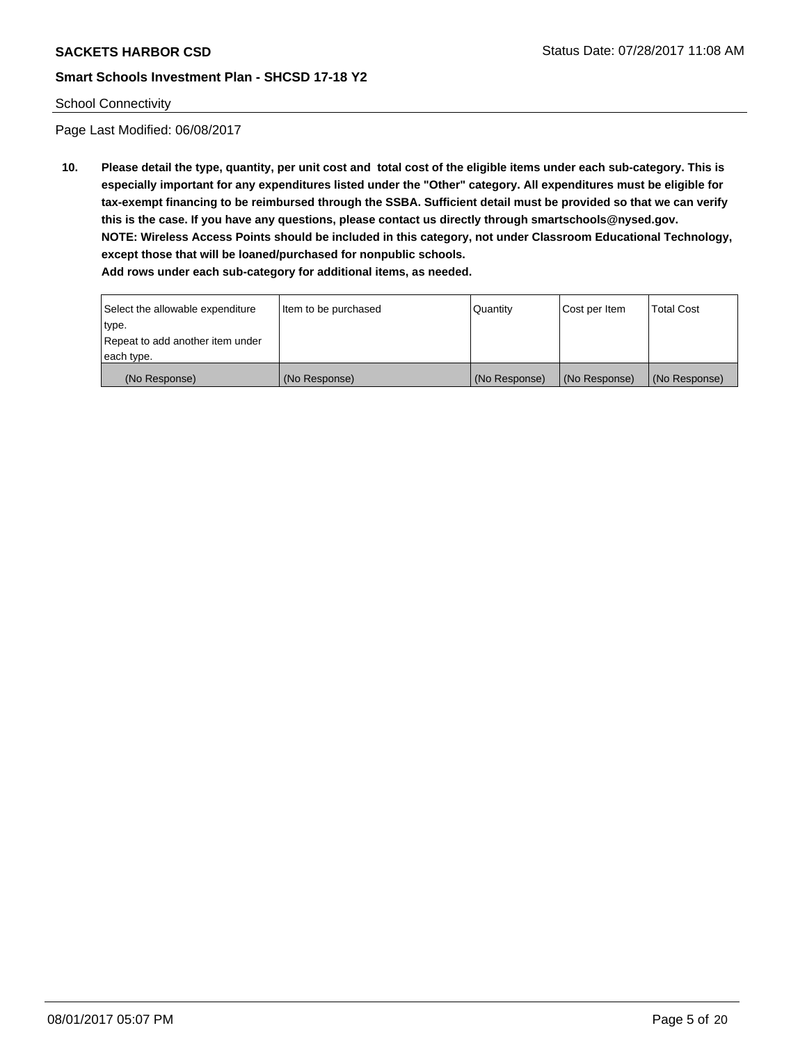### School Connectivity

Page Last Modified: 06/08/2017

**10. Please detail the type, quantity, per unit cost and total cost of the eligible items under each sub-category. This is especially important for any expenditures listed under the "Other" category. All expenditures must be eligible for tax-exempt financing to be reimbursed through the SSBA. Sufficient detail must be provided so that we can verify this is the case. If you have any questions, please contact us directly through smartschools@nysed.gov. NOTE: Wireless Access Points should be included in this category, not under Classroom Educational Technology, except those that will be loaned/purchased for nonpublic schools.**

| Select the allowable expenditure | Item to be purchased | Quantity      | Cost per Item | Total Cost    |
|----------------------------------|----------------------|---------------|---------------|---------------|
| type.                            |                      |               |               |               |
| Repeat to add another item under |                      |               |               |               |
| each type.                       |                      |               |               |               |
| (No Response)                    | (No Response)        | (No Response) | (No Response) | (No Response) |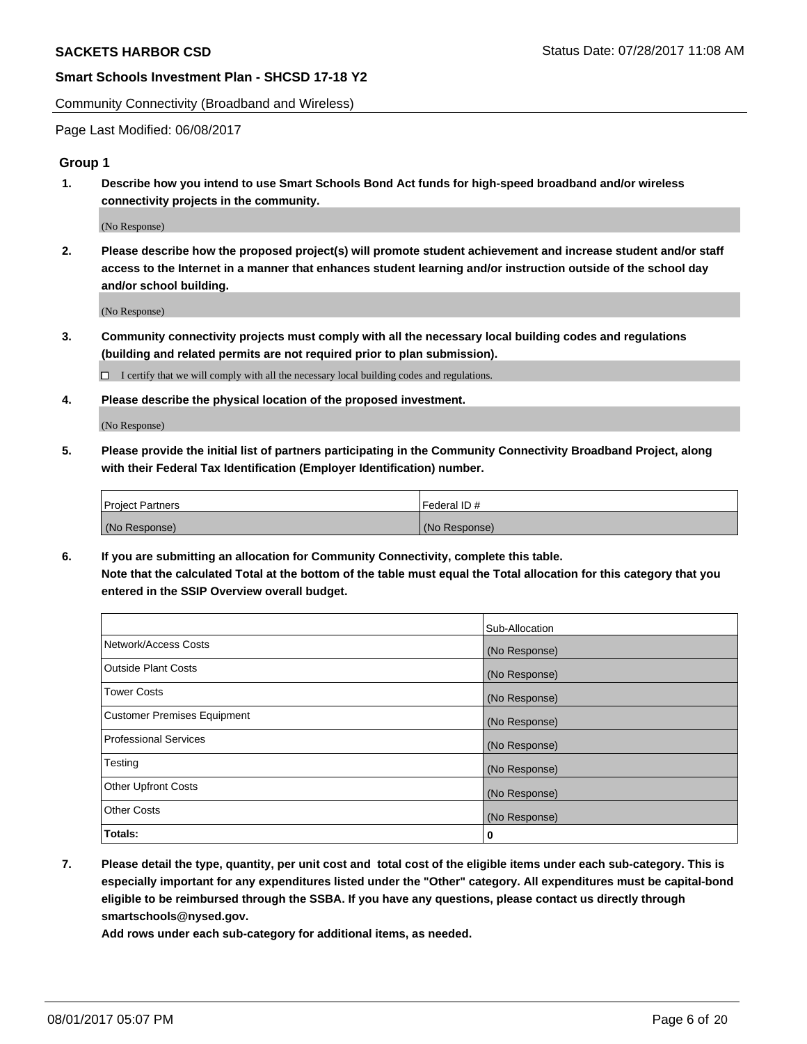Community Connectivity (Broadband and Wireless)

Page Last Modified: 06/08/2017

## **Group 1**

**1. Describe how you intend to use Smart Schools Bond Act funds for high-speed broadband and/or wireless connectivity projects in the community.**

(No Response)

**2. Please describe how the proposed project(s) will promote student achievement and increase student and/or staff access to the Internet in a manner that enhances student learning and/or instruction outside of the school day and/or school building.**

(No Response)

**3. Community connectivity projects must comply with all the necessary local building codes and regulations (building and related permits are not required prior to plan submission).**

 $\Box$  I certify that we will comply with all the necessary local building codes and regulations.

**4. Please describe the physical location of the proposed investment.**

(No Response)

**5. Please provide the initial list of partners participating in the Community Connectivity Broadband Project, along with their Federal Tax Identification (Employer Identification) number.**

| <b>Project Partners</b> | l Federal ID # |
|-------------------------|----------------|
| (No Response)           | (No Response)  |

**6. If you are submitting an allocation for Community Connectivity, complete this table. Note that the calculated Total at the bottom of the table must equal the Total allocation for this category that you entered in the SSIP Overview overall budget.**

|                                    | Sub-Allocation |
|------------------------------------|----------------|
| Network/Access Costs               | (No Response)  |
| Outside Plant Costs                | (No Response)  |
| <b>Tower Costs</b>                 | (No Response)  |
| <b>Customer Premises Equipment</b> | (No Response)  |
| <b>Professional Services</b>       | (No Response)  |
| Testing                            | (No Response)  |
| <b>Other Upfront Costs</b>         | (No Response)  |
| <b>Other Costs</b>                 | (No Response)  |
| Totals:                            | 0              |

**7. Please detail the type, quantity, per unit cost and total cost of the eligible items under each sub-category. This is especially important for any expenditures listed under the "Other" category. All expenditures must be capital-bond eligible to be reimbursed through the SSBA. If you have any questions, please contact us directly through smartschools@nysed.gov.**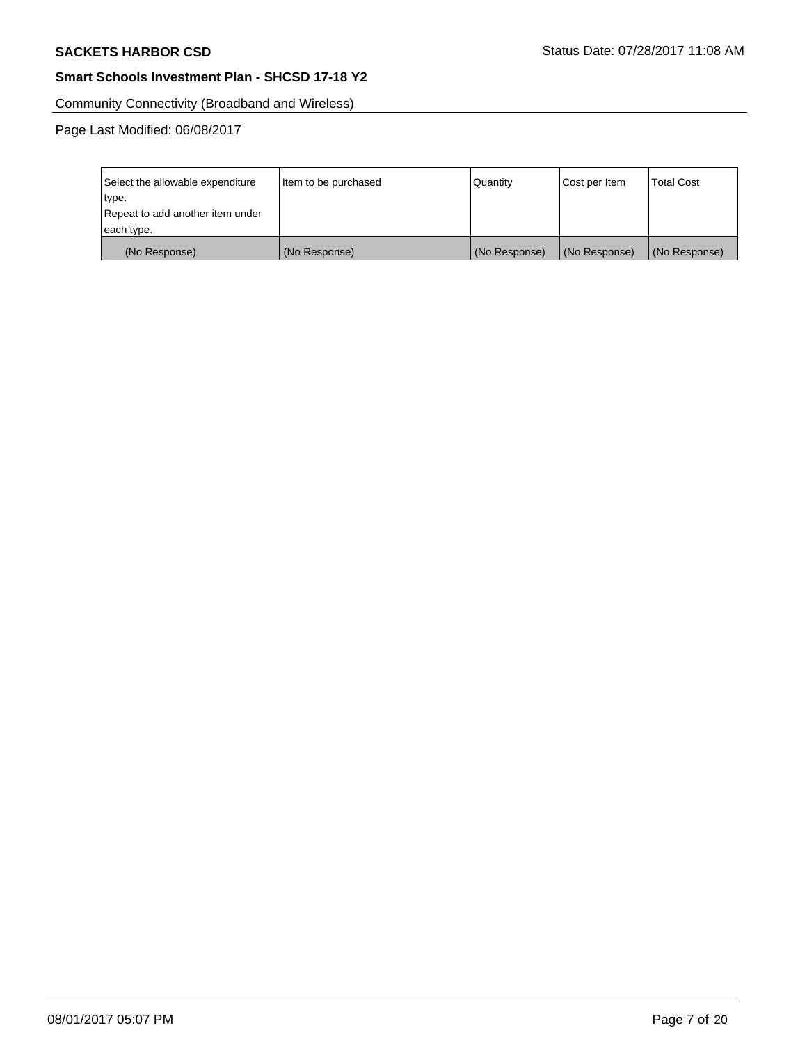Community Connectivity (Broadband and Wireless)

| Select the allowable expenditure<br>type.<br>Repeat to add another item under | Item to be purchased | Quantity      | Cost per Item | <b>Total Cost</b> |
|-------------------------------------------------------------------------------|----------------------|---------------|---------------|-------------------|
| each type.                                                                    |                      |               |               |                   |
| (No Response)                                                                 | (No Response)        | (No Response) | (No Response) | (No Response)     |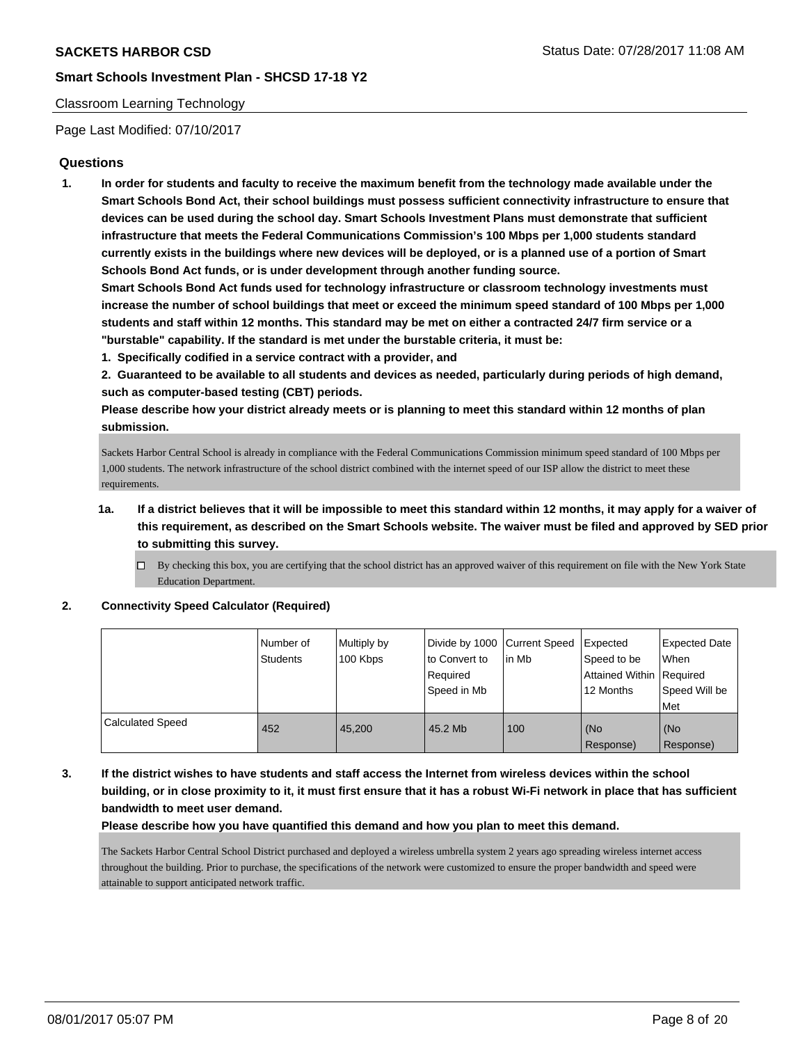### Classroom Learning Technology

Page Last Modified: 07/10/2017

## **Questions**

**1. In order for students and faculty to receive the maximum benefit from the technology made available under the Smart Schools Bond Act, their school buildings must possess sufficient connectivity infrastructure to ensure that devices can be used during the school day. Smart Schools Investment Plans must demonstrate that sufficient infrastructure that meets the Federal Communications Commission's 100 Mbps per 1,000 students standard currently exists in the buildings where new devices will be deployed, or is a planned use of a portion of Smart Schools Bond Act funds, or is under development through another funding source.**

**Smart Schools Bond Act funds used for technology infrastructure or classroom technology investments must increase the number of school buildings that meet or exceed the minimum speed standard of 100 Mbps per 1,000 students and staff within 12 months. This standard may be met on either a contracted 24/7 firm service or a "burstable" capability. If the standard is met under the burstable criteria, it must be:**

**1. Specifically codified in a service contract with a provider, and**

**2. Guaranteed to be available to all students and devices as needed, particularly during periods of high demand, such as computer-based testing (CBT) periods.**

**Please describe how your district already meets or is planning to meet this standard within 12 months of plan submission.**

Sackets Harbor Central School is already in compliance with the Federal Communications Commission minimum speed standard of 100 Mbps per 1,000 students. The network infrastructure of the school district combined with the internet speed of our ISP allow the district to meet these requirements

- **1a. If a district believes that it will be impossible to meet this standard within 12 months, it may apply for a waiver of this requirement, as described on the Smart Schools website. The waiver must be filed and approved by SED prior to submitting this survey.**
	- $\Box$  By checking this box, you are certifying that the school district has an approved waiver of this requirement on file with the New York State Education Department.

**2. Connectivity Speed Calculator (Required)**

|                         | Number of<br><b>Students</b> | Multiply by<br>100 Kbps | Divide by 1000 Current Speed<br>to Convert to<br>Required<br>Speed in Mb | in Mb | Expected<br>Speed to be<br>Attained Within Required<br>12 Months | <b>Expected Date</b><br><b>When</b><br>Speed Will be<br>Met |
|-------------------------|------------------------------|-------------------------|--------------------------------------------------------------------------|-------|------------------------------------------------------------------|-------------------------------------------------------------|
| <b>Calculated Speed</b> | 452                          | 45.200                  | 45.2 Mb                                                                  | 100   | (No<br>Response)                                                 | l (No<br>Response)                                          |

**3. If the district wishes to have students and staff access the Internet from wireless devices within the school building, or in close proximity to it, it must first ensure that it has a robust Wi-Fi network in place that has sufficient bandwidth to meet user demand.**

**Please describe how you have quantified this demand and how you plan to meet this demand.**

The Sackets Harbor Central School District purchased and deployed a wireless umbrella system 2 years ago spreading wireless internet access throughout the building. Prior to purchase, the specifications of the network were customized to ensure the proper bandwidth and speed were attainable to support anticipated network traffic.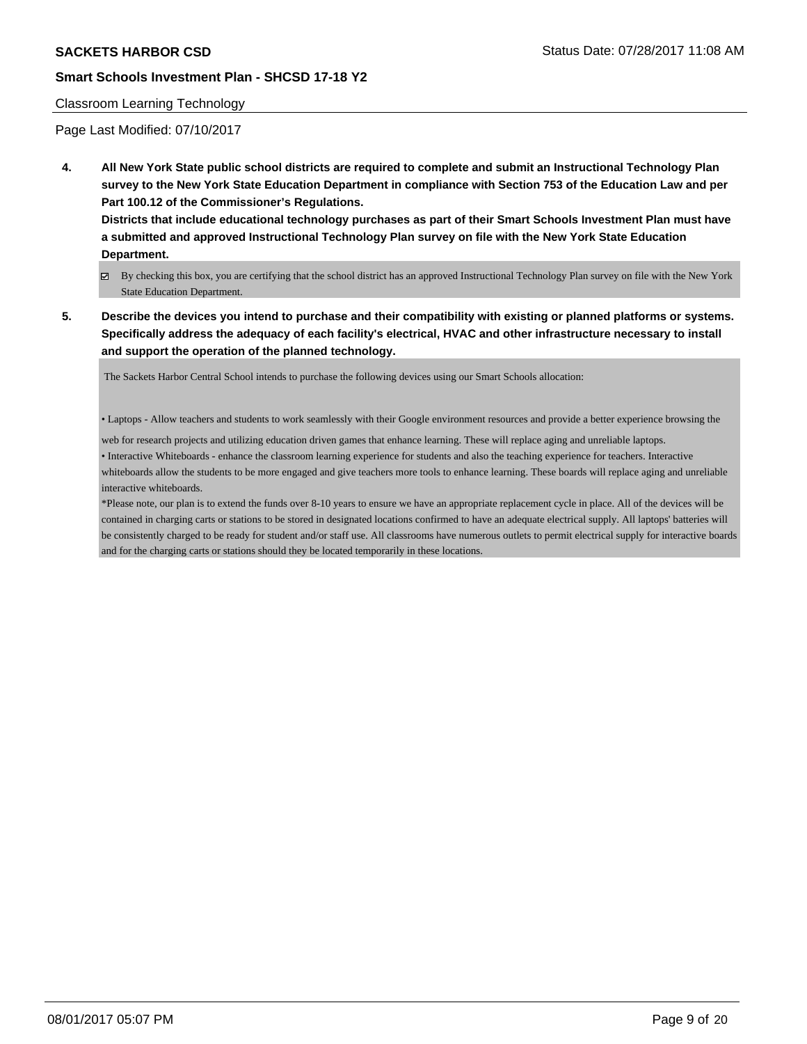## Classroom Learning Technology

Page Last Modified: 07/10/2017

**4. All New York State public school districts are required to complete and submit an Instructional Technology Plan survey to the New York State Education Department in compliance with Section 753 of the Education Law and per Part 100.12 of the Commissioner's Regulations.**

**Districts that include educational technology purchases as part of their Smart Schools Investment Plan must have a submitted and approved Instructional Technology Plan survey on file with the New York State Education Department.**

- By checking this box, you are certifying that the school district has an approved Instructional Technology Plan survey on file with the New York State Education Department.
- **5. Describe the devices you intend to purchase and their compatibility with existing or planned platforms or systems. Specifically address the adequacy of each facility's electrical, HVAC and other infrastructure necessary to install and support the operation of the planned technology.**

The Sackets Harbor Central School intends to purchase the following devices using our Smart Schools allocation:

• Laptops - Allow teachers and students to work seamlessly with their Google environment resources and provide a better experience browsing the

web for research projects and utilizing education driven games that enhance learning. These will replace aging and unreliable laptops. • Interactive Whiteboards - enhance the classroom learning experience for students and also the teaching experience for teachers. Interactive whiteboards allow the students to be more engaged and give teachers more tools to enhance learning. These boards will replace aging and unreliable interactive whiteboards.

\*Please note, our plan is to extend the funds over 8-10 years to ensure we have an appropriate replacement cycle in place. All of the devices will be contained in charging carts or stations to be stored in designated locations confirmed to have an adequate electrical supply. All laptops' batteries will be consistently charged to be ready for student and/or staff use. All classrooms have numerous outlets to permit electrical supply for interactive boards and for the charging carts or stations should they be located temporarily in these locations.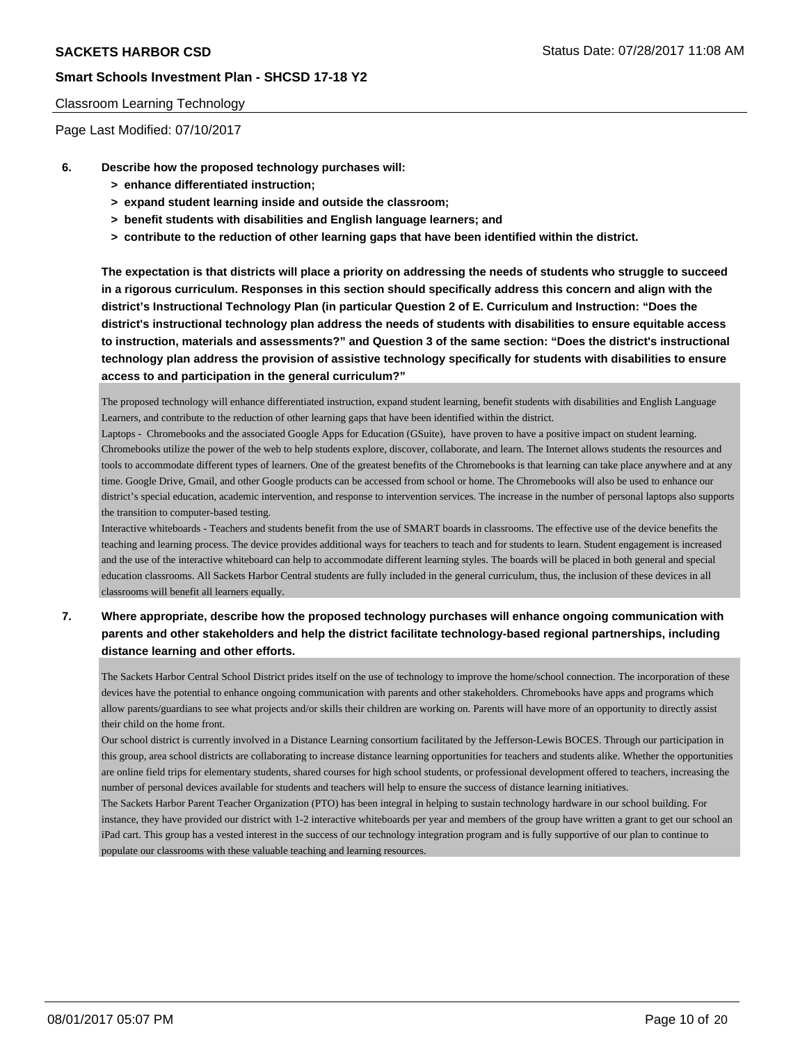### Classroom Learning Technology

Page Last Modified: 07/10/2017

- **6. Describe how the proposed technology purchases will:**
	- **> enhance differentiated instruction;**
	- **> expand student learning inside and outside the classroom;**
	- **> benefit students with disabilities and English language learners; and**
	- **> contribute to the reduction of other learning gaps that have been identified within the district.**

**The expectation is that districts will place a priority on addressing the needs of students who struggle to succeed in a rigorous curriculum. Responses in this section should specifically address this concern and align with the district's Instructional Technology Plan (in particular Question 2 of E. Curriculum and Instruction: "Does the district's instructional technology plan address the needs of students with disabilities to ensure equitable access to instruction, materials and assessments?" and Question 3 of the same section: "Does the district's instructional technology plan address the provision of assistive technology specifically for students with disabilities to ensure access to and participation in the general curriculum?"**

The proposed technology will enhance differentiated instruction, expand student learning, benefit students with disabilities and English Language Learners, and contribute to the reduction of other learning gaps that have been identified within the district.

Laptops - Chromebooks and the associated Google Apps for Education (GSuite), have proven to have a positive impact on student learning. Chromebooks utilize the power of the web to help students explore, discover, collaborate, and learn. The Internet allows students the resources and tools to accommodate different types of learners. One of the greatest benefits of the Chromebooks is that learning can take place anywhere and at any time. Google Drive, Gmail, and other Google products can be accessed from school or home. The Chromebooks will also be used to enhance our district's special education, academic intervention, and response to intervention services. The increase in the number of personal laptops also supports the transition to computer-based testing.

Interactive whiteboards - Teachers and students benefit from the use of SMART boards in classrooms. The effective use of the device benefits the teaching and learning process. The device provides additional ways for teachers to teach and for students to learn. Student engagement is increased and the use of the interactive whiteboard can help to accommodate different learning styles. The boards will be placed in both general and special education classrooms. All Sackets Harbor Central students are fully included in the general curriculum, thus, the inclusion of these devices in all classrooms will benefit all learners equally.

**7. Where appropriate, describe how the proposed technology purchases will enhance ongoing communication with parents and other stakeholders and help the district facilitate technology-based regional partnerships, including distance learning and other efforts.**

The Sackets Harbor Central School District prides itself on the use of technology to improve the home/school connection. The incorporation of these devices have the potential to enhance ongoing communication with parents and other stakeholders. Chromebooks have apps and programs which allow parents/guardians to see what projects and/or skills their children are working on. Parents will have more of an opportunity to directly assist their child on the home front.

Our school district is currently involved in a Distance Learning consortium facilitated by the Jefferson-Lewis BOCES. Through our participation in this group, area school districts are collaborating to increase distance learning opportunities for teachers and students alike. Whether the opportunities are online field trips for elementary students, shared courses for high school students, or professional development offered to teachers, increasing the number of personal devices available for students and teachers will help to ensure the success of distance learning initiatives.

The Sackets Harbor Parent Teacher Organization (PTO) has been integral in helping to sustain technology hardware in our school building. For instance, they have provided our district with 1-2 interactive whiteboards per year and members of the group have written a grant to get our school an iPad cart. This group has a vested interest in the success of our technology integration program and is fully supportive of our plan to continue to populate our classrooms with these valuable teaching and learning resources.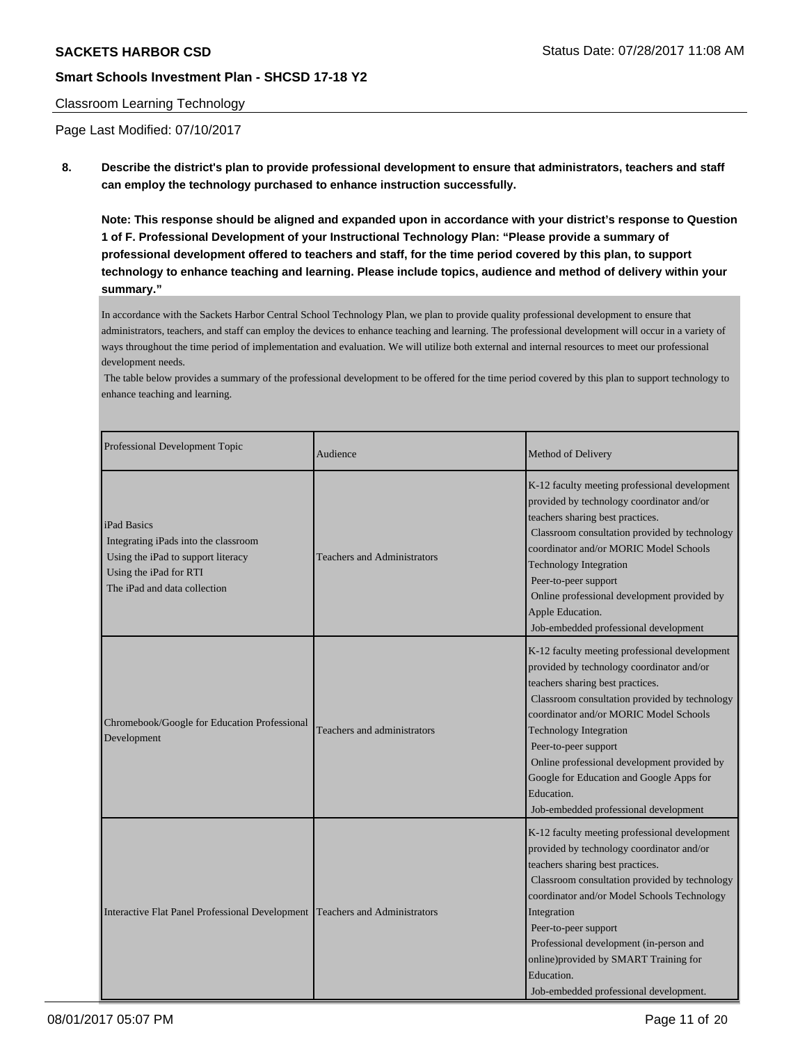### Classroom Learning Technology

Page Last Modified: 07/10/2017

**8. Describe the district's plan to provide professional development to ensure that administrators, teachers and staff can employ the technology purchased to enhance instruction successfully.**

**Note: This response should be aligned and expanded upon in accordance with your district's response to Question 1 of F. Professional Development of your Instructional Technology Plan: "Please provide a summary of professional development offered to teachers and staff, for the time period covered by this plan, to support technology to enhance teaching and learning. Please include topics, audience and method of delivery within your summary."**

In accordance with the Sackets Harbor Central School Technology Plan, we plan to provide quality professional development to ensure that administrators, teachers, and staff can employ the devices to enhance teaching and learning. The professional development will occur in a variety of ways throughout the time period of implementation and evaluation. We will utilize both external and internal resources to meet our professional development needs.

 The table below provides a summary of the professional development to be offered for the time period covered by this plan to support technology to enhance teaching and learning.

| Professional Development Topic                                                                                                                      | Audience                           | Method of Delivery                                                                                                                                                                                                                                                                                                                                                                                                            |
|-----------------------------------------------------------------------------------------------------------------------------------------------------|------------------------------------|-------------------------------------------------------------------------------------------------------------------------------------------------------------------------------------------------------------------------------------------------------------------------------------------------------------------------------------------------------------------------------------------------------------------------------|
| iPad Basics<br>Integrating iPads into the classroom<br>Using the iPad to support literacy<br>Using the iPad for RTI<br>The iPad and data collection | <b>Teachers and Administrators</b> | K-12 faculty meeting professional development<br>provided by technology coordinator and/or<br>teachers sharing best practices.<br>Classroom consultation provided by technology<br>coordinator and/or MORIC Model Schools<br>Technology Integration<br>Peer-to-peer support<br>Online professional development provided by<br>Apple Education.<br>Job-embedded professional development                                       |
| Chromebook/Google for Education Professional<br>Development                                                                                         | Teachers and administrators        | K-12 faculty meeting professional development<br>provided by technology coordinator and/or<br>teachers sharing best practices.<br>Classroom consultation provided by technology<br>coordinator and/or MORIC Model Schools<br>Technology Integration<br>Peer-to-peer support<br>Online professional development provided by<br>Google for Education and Google Apps for<br>Education.<br>Job-embedded professional development |
| Interactive Flat Panel Professional Development                                                                                                     | <b>Teachers and Administrators</b> | K-12 faculty meeting professional development<br>provided by technology coordinator and/or<br>teachers sharing best practices.<br>Classroom consultation provided by technology<br>coordinator and/or Model Schools Technology<br>Integration<br>Peer-to-peer support<br>Professional development (in-person and<br>online)provided by SMART Training for<br>Education.<br>Job-embedded professional development.             |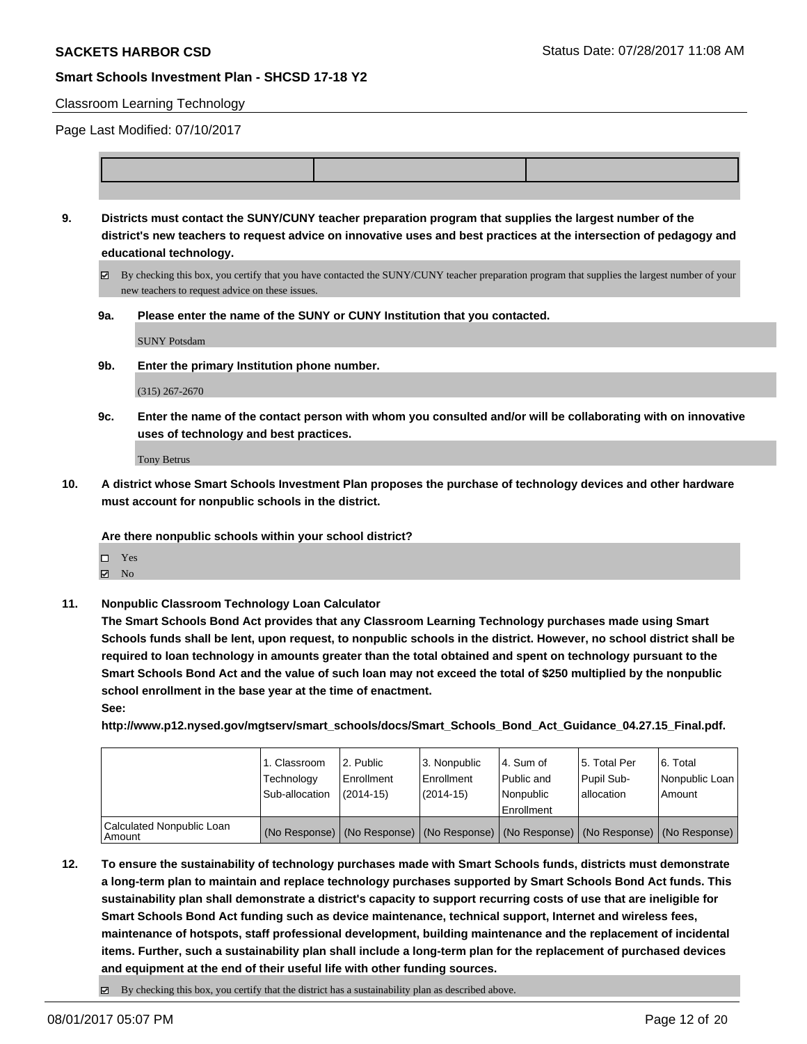### Classroom Learning Technology

Page Last Modified: 07/10/2017

**9. Districts must contact the SUNY/CUNY teacher preparation program that supplies the largest number of the district's new teachers to request advice on innovative uses and best practices at the intersection of pedagogy and educational technology.**

By checking this box, you certify that you have contacted the SUNY/CUNY teacher preparation program that supplies the largest number of your new teachers to request advice on these issues.

**9a. Please enter the name of the SUNY or CUNY Institution that you contacted.**

SUNY Potsdam

**9b. Enter the primary Institution phone number.**

(315) 267-2670

**9c. Enter the name of the contact person with whom you consulted and/or will be collaborating with on innovative uses of technology and best practices.**

Tony Betrus

**10. A district whose Smart Schools Investment Plan proposes the purchase of technology devices and other hardware must account for nonpublic schools in the district.**

**Are there nonpublic schools within your school district?**

Yes

- $\boxtimes$  No
- **11. Nonpublic Classroom Technology Loan Calculator**

**The Smart Schools Bond Act provides that any Classroom Learning Technology purchases made using Smart Schools funds shall be lent, upon request, to nonpublic schools in the district. However, no school district shall be required to loan technology in amounts greater than the total obtained and spent on technology pursuant to the Smart Schools Bond Act and the value of such loan may not exceed the total of \$250 multiplied by the nonpublic school enrollment in the base year at the time of enactment.**

**See:**

**http://www.p12.nysed.gov/mgtserv/smart\_schools/docs/Smart\_Schools\_Bond\_Act\_Guidance\_04.27.15\_Final.pdf.**

|                                       | 1. Classroom<br>Technology<br>Sub-allocation | 2. Public<br>l Enrollment<br>$(2014-15)$ | 3. Nonpublic<br>Enrollment<br>$(2014-15)$ | l 4. Sum of<br>l Public and<br>l Nonpublic<br>l Enrollment | 15. Total Per<br>Pupil Sub-<br>lallocation                                                    | 6. Total<br>  Nonpublic Loan  <br>Amount |
|---------------------------------------|----------------------------------------------|------------------------------------------|-------------------------------------------|------------------------------------------------------------|-----------------------------------------------------------------------------------------------|------------------------------------------|
| Calculated Nonpublic Loan<br>  Amount |                                              |                                          |                                           |                                                            | (No Response)   (No Response)   (No Response)   (No Response)   (No Response)   (No Response) |                                          |

- **12. To ensure the sustainability of technology purchases made with Smart Schools funds, districts must demonstrate a long-term plan to maintain and replace technology purchases supported by Smart Schools Bond Act funds. This sustainability plan shall demonstrate a district's capacity to support recurring costs of use that are ineligible for Smart Schools Bond Act funding such as device maintenance, technical support, Internet and wireless fees, maintenance of hotspots, staff professional development, building maintenance and the replacement of incidental items. Further, such a sustainability plan shall include a long-term plan for the replacement of purchased devices and equipment at the end of their useful life with other funding sources.**
	- $\boxtimes$  By checking this box, you certify that the district has a sustainability plan as described above.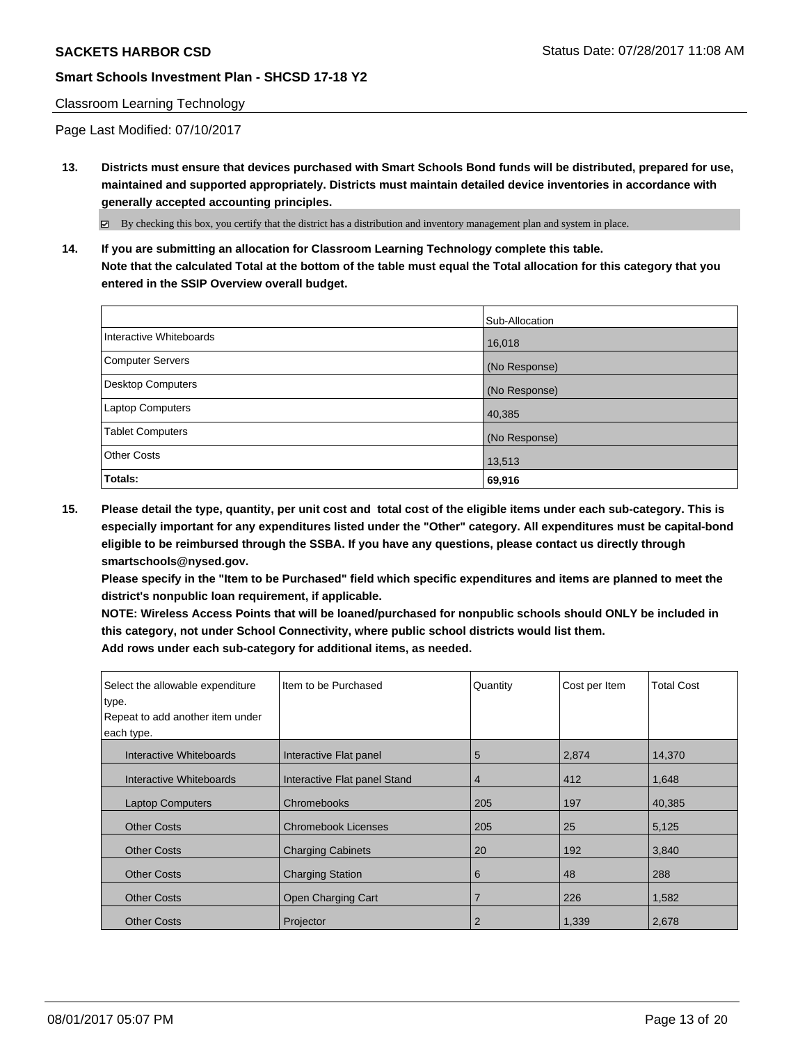### Classroom Learning Technology

Page Last Modified: 07/10/2017

**13. Districts must ensure that devices purchased with Smart Schools Bond funds will be distributed, prepared for use, maintained and supported appropriately. Districts must maintain detailed device inventories in accordance with generally accepted accounting principles.**

By checking this box, you certify that the district has a distribution and inventory management plan and system in place.

**14. If you are submitting an allocation for Classroom Learning Technology complete this table. Note that the calculated Total at the bottom of the table must equal the Total allocation for this category that you entered in the SSIP Overview overall budget.**

|                         | Sub-Allocation |
|-------------------------|----------------|
| Interactive Whiteboards | 16,018         |
| Computer Servers        | (No Response)  |
| Desktop Computers       | (No Response)  |
| <b>Laptop Computers</b> | 40,385         |
| <b>Tablet Computers</b> | (No Response)  |
| <b>Other Costs</b>      | 13,513         |
| Totals:                 | 69,916         |

**15. Please detail the type, quantity, per unit cost and total cost of the eligible items under each sub-category. This is especially important for any expenditures listed under the "Other" category. All expenditures must be capital-bond eligible to be reimbursed through the SSBA. If you have any questions, please contact us directly through smartschools@nysed.gov.**

**Please specify in the "Item to be Purchased" field which specific expenditures and items are planned to meet the district's nonpublic loan requirement, if applicable.**

**NOTE: Wireless Access Points that will be loaned/purchased for nonpublic schools should ONLY be included in this category, not under School Connectivity, where public school districts would list them. Add rows under each sub-category for additional items, as needed.**

| Select the allowable expenditure<br>type.<br>Repeat to add another item under<br>each type. | Item to be Purchased         | Quantity       | Cost per Item | <b>Total Cost</b> |
|---------------------------------------------------------------------------------------------|------------------------------|----------------|---------------|-------------------|
| Interactive Whiteboards                                                                     | Interactive Flat panel       | 5              | 2,874         | 14,370            |
| Interactive Whiteboards                                                                     | Interactive Flat panel Stand | 4              | 412           | 1,648             |
| <b>Laptop Computers</b>                                                                     | Chromebooks                  | 205            | 197           | 40,385            |
| <b>Other Costs</b>                                                                          | <b>Chromebook Licenses</b>   | 205            | 25            | 5,125             |
| <b>Other Costs</b>                                                                          | <b>Charging Cabinets</b>     | 20             | 192           | 3,840             |
| <b>Other Costs</b>                                                                          | <b>Charging Station</b>      | 6              | 48            | 288               |
| <b>Other Costs</b>                                                                          | Open Charging Cart           | 7              | 226           | 1,582             |
| <b>Other Costs</b>                                                                          | Projector                    | $\overline{2}$ | 1,339         | 2,678             |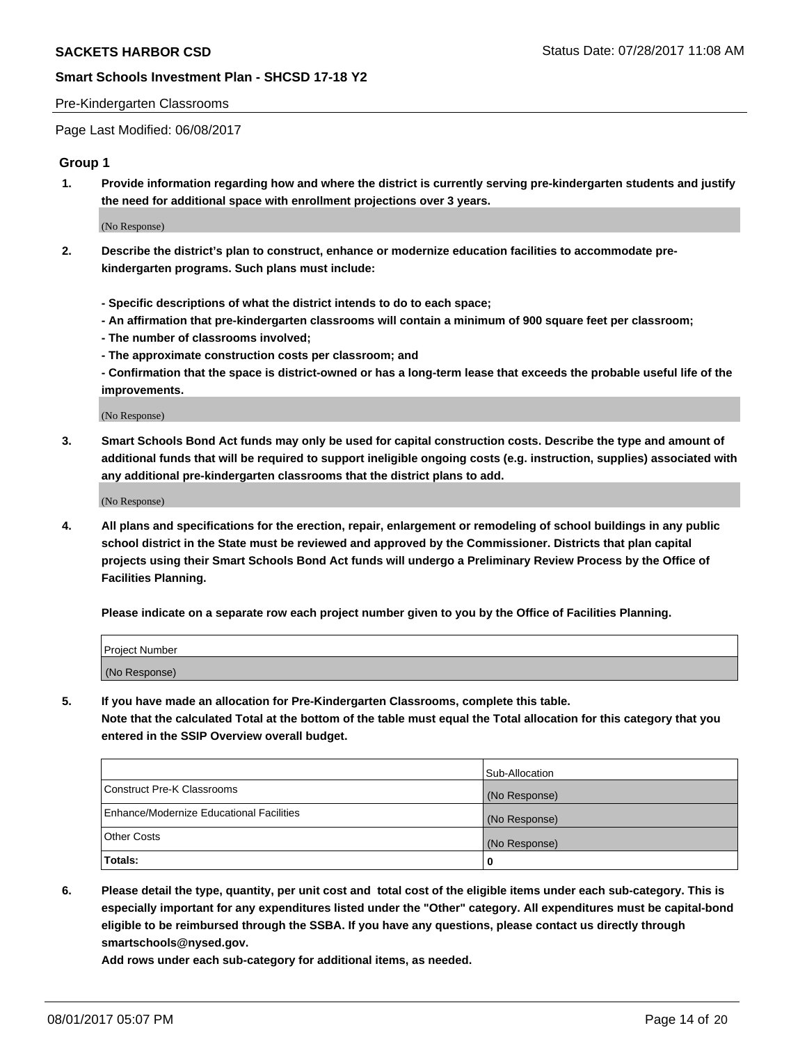### Pre-Kindergarten Classrooms

Page Last Modified: 06/08/2017

### **Group 1**

**1. Provide information regarding how and where the district is currently serving pre-kindergarten students and justify the need for additional space with enrollment projections over 3 years.**

(No Response)

- **2. Describe the district's plan to construct, enhance or modernize education facilities to accommodate prekindergarten programs. Such plans must include:**
	- **Specific descriptions of what the district intends to do to each space;**
	- **An affirmation that pre-kindergarten classrooms will contain a minimum of 900 square feet per classroom;**
	- **The number of classrooms involved;**
	- **The approximate construction costs per classroom; and**
	- **Confirmation that the space is district-owned or has a long-term lease that exceeds the probable useful life of the improvements.**

(No Response)

**3. Smart Schools Bond Act funds may only be used for capital construction costs. Describe the type and amount of additional funds that will be required to support ineligible ongoing costs (e.g. instruction, supplies) associated with any additional pre-kindergarten classrooms that the district plans to add.**

(No Response)

**4. All plans and specifications for the erection, repair, enlargement or remodeling of school buildings in any public school district in the State must be reviewed and approved by the Commissioner. Districts that plan capital projects using their Smart Schools Bond Act funds will undergo a Preliminary Review Process by the Office of Facilities Planning.**

**Please indicate on a separate row each project number given to you by the Office of Facilities Planning.**

| Project Number |  |
|----------------|--|
| (No Response)  |  |

**5. If you have made an allocation for Pre-Kindergarten Classrooms, complete this table. Note that the calculated Total at the bottom of the table must equal the Total allocation for this category that you entered in the SSIP Overview overall budget.**

| Totals:                                  | 0              |
|------------------------------------------|----------------|
| Other Costs                              | (No Response)  |
| Enhance/Modernize Educational Facilities | (No Response)  |
| Construct Pre-K Classrooms               | (No Response)  |
|                                          | Sub-Allocation |

**6. Please detail the type, quantity, per unit cost and total cost of the eligible items under each sub-category. This is especially important for any expenditures listed under the "Other" category. All expenditures must be capital-bond eligible to be reimbursed through the SSBA. If you have any questions, please contact us directly through smartschools@nysed.gov.**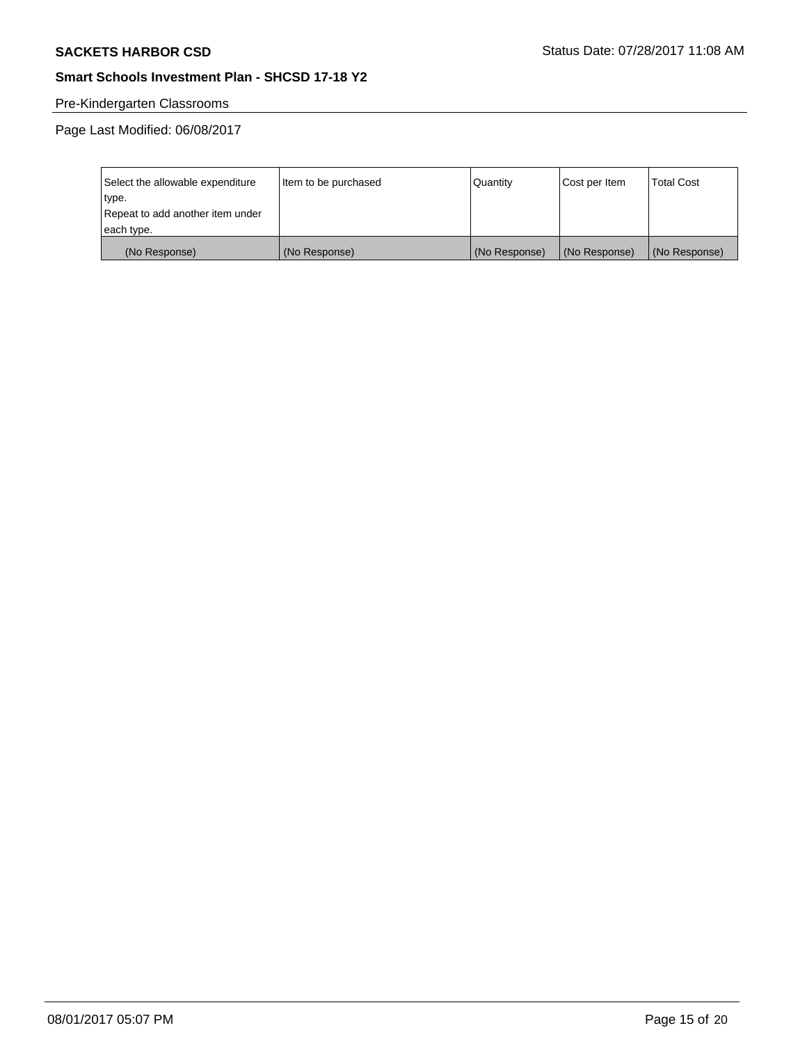# Pre-Kindergarten Classrooms

| Select the allowable expenditure | Item to be purchased | Quantity      | Cost per Item | <b>Total Cost</b> |
|----------------------------------|----------------------|---------------|---------------|-------------------|
| type.                            |                      |               |               |                   |
| Repeat to add another item under |                      |               |               |                   |
| each type.                       |                      |               |               |                   |
| (No Response)                    | (No Response)        | (No Response) | (No Response) | (No Response)     |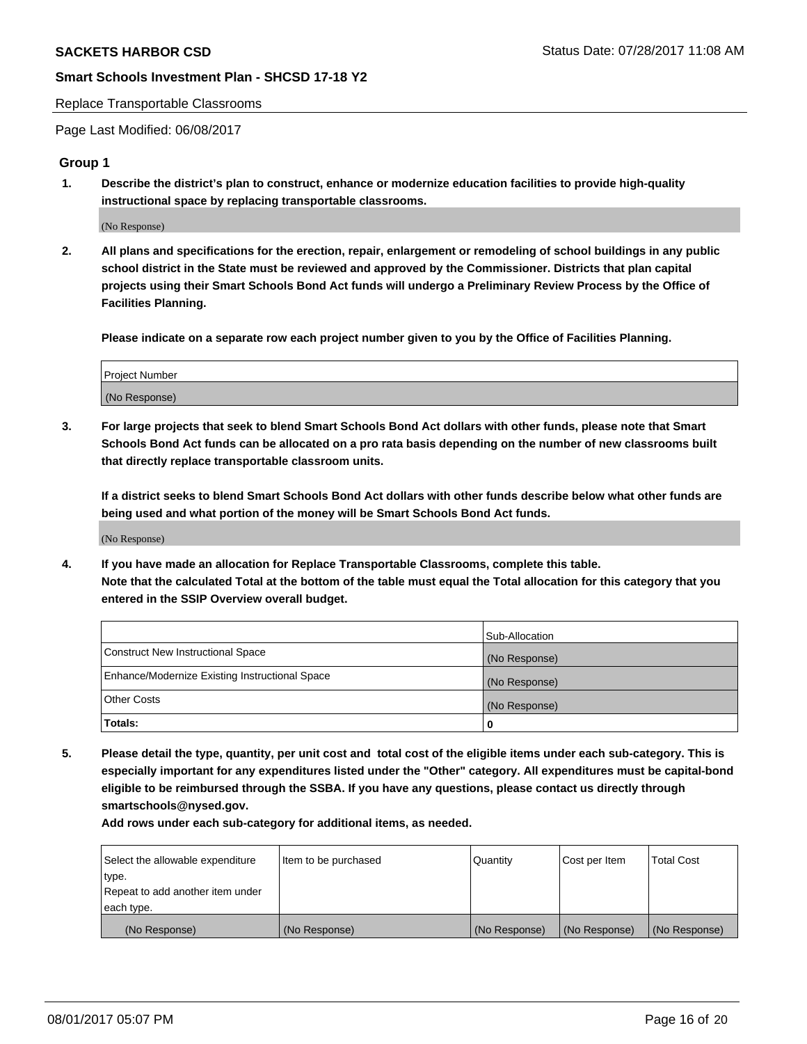### Replace Transportable Classrooms

Page Last Modified: 06/08/2017

### **Group 1**

**1. Describe the district's plan to construct, enhance or modernize education facilities to provide high-quality instructional space by replacing transportable classrooms.**

(No Response)

**2. All plans and specifications for the erection, repair, enlargement or remodeling of school buildings in any public school district in the State must be reviewed and approved by the Commissioner. Districts that plan capital projects using their Smart Schools Bond Act funds will undergo a Preliminary Review Process by the Office of Facilities Planning.**

**Please indicate on a separate row each project number given to you by the Office of Facilities Planning.**

| Project Number |  |
|----------------|--|
| (No Response)  |  |

**3. For large projects that seek to blend Smart Schools Bond Act dollars with other funds, please note that Smart Schools Bond Act funds can be allocated on a pro rata basis depending on the number of new classrooms built that directly replace transportable classroom units.**

**If a district seeks to blend Smart Schools Bond Act dollars with other funds describe below what other funds are being used and what portion of the money will be Smart Schools Bond Act funds.**

(No Response)

**4. If you have made an allocation for Replace Transportable Classrooms, complete this table. Note that the calculated Total at the bottom of the table must equal the Total allocation for this category that you entered in the SSIP Overview overall budget.**

|                                                | Sub-Allocation |
|------------------------------------------------|----------------|
| Construct New Instructional Space              | (No Response)  |
| Enhance/Modernize Existing Instructional Space | (No Response)  |
| Other Costs                                    | (No Response)  |
| Totals:                                        | $\Omega$       |

**5. Please detail the type, quantity, per unit cost and total cost of the eligible items under each sub-category. This is especially important for any expenditures listed under the "Other" category. All expenditures must be capital-bond eligible to be reimbursed through the SSBA. If you have any questions, please contact us directly through smartschools@nysed.gov.**

| Select the allowable expenditure | Item to be purchased | Quantity      | Cost per Item | <b>Total Cost</b> |
|----------------------------------|----------------------|---------------|---------------|-------------------|
| type.                            |                      |               |               |                   |
| Repeat to add another item under |                      |               |               |                   |
| each type.                       |                      |               |               |                   |
| (No Response)                    | (No Response)        | (No Response) | (No Response) | (No Response)     |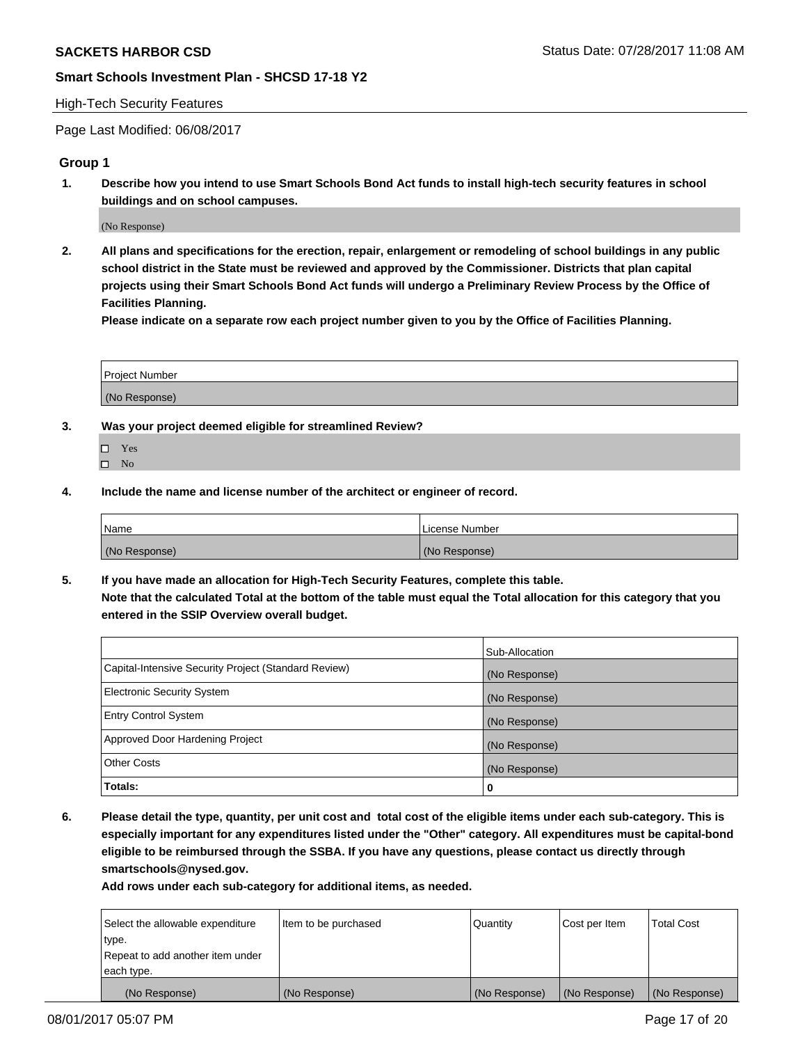## High-Tech Security Features

Page Last Modified: 06/08/2017

## **Group 1**

**1. Describe how you intend to use Smart Schools Bond Act funds to install high-tech security features in school buildings and on school campuses.**

(No Response)

**2. All plans and specifications for the erection, repair, enlargement or remodeling of school buildings in any public school district in the State must be reviewed and approved by the Commissioner. Districts that plan capital projects using their Smart Schools Bond Act funds will undergo a Preliminary Review Process by the Office of Facilities Planning.** 

**Please indicate on a separate row each project number given to you by the Office of Facilities Planning.**

| Project Number |  |
|----------------|--|
|                |  |
| (No Response)  |  |

- **3. Was your project deemed eligible for streamlined Review?**
	- Yes  $\hfill \square$  No
- **4. Include the name and license number of the architect or engineer of record.**

| Name          | l License Number |
|---------------|------------------|
| (No Response) | (No Response)    |

**5. If you have made an allocation for High-Tech Security Features, complete this table. Note that the calculated Total at the bottom of the table must equal the Total allocation for this category that you entered in the SSIP Overview overall budget.**

|                                                      | Sub-Allocation |
|------------------------------------------------------|----------------|
| Capital-Intensive Security Project (Standard Review) | (No Response)  |
| Electronic Security System                           | (No Response)  |
| <b>Entry Control System</b>                          | (No Response)  |
| Approved Door Hardening Project                      | (No Response)  |
| <b>Other Costs</b>                                   | (No Response)  |
| Totals:                                              | 0              |

**6. Please detail the type, quantity, per unit cost and total cost of the eligible items under each sub-category. This is especially important for any expenditures listed under the "Other" category. All expenditures must be capital-bond eligible to be reimbursed through the SSBA. If you have any questions, please contact us directly through smartschools@nysed.gov.**

| Select the allowable expenditure | Item to be purchased | Quantity      | Cost per Item | <b>Total Cost</b> |
|----------------------------------|----------------------|---------------|---------------|-------------------|
| type.                            |                      |               |               |                   |
| Repeat to add another item under |                      |               |               |                   |
| each type.                       |                      |               |               |                   |
| (No Response)                    | (No Response)        | (No Response) | (No Response) | (No Response)     |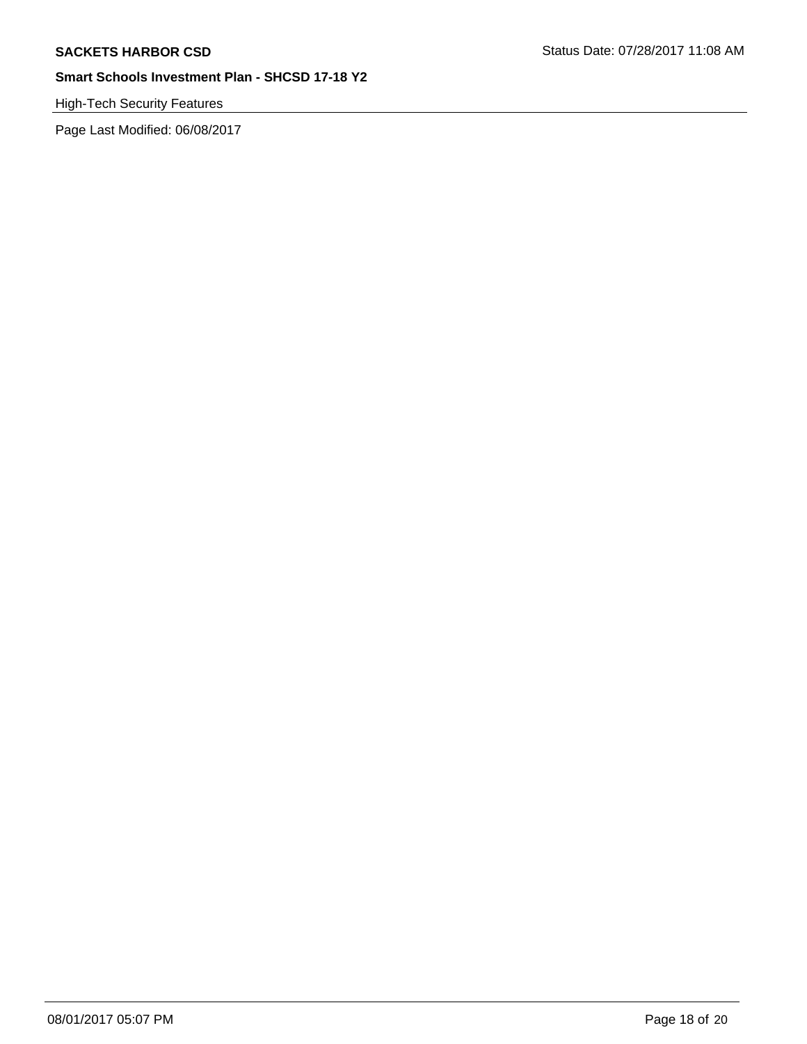# High-Tech Security Features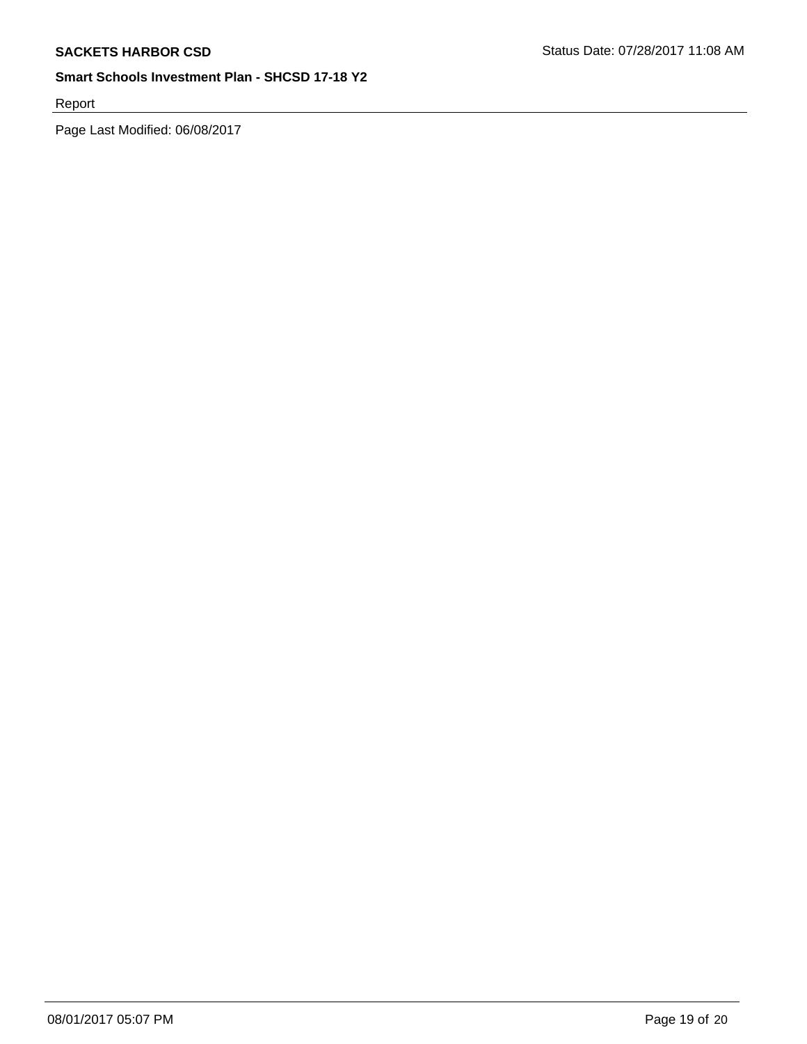Report